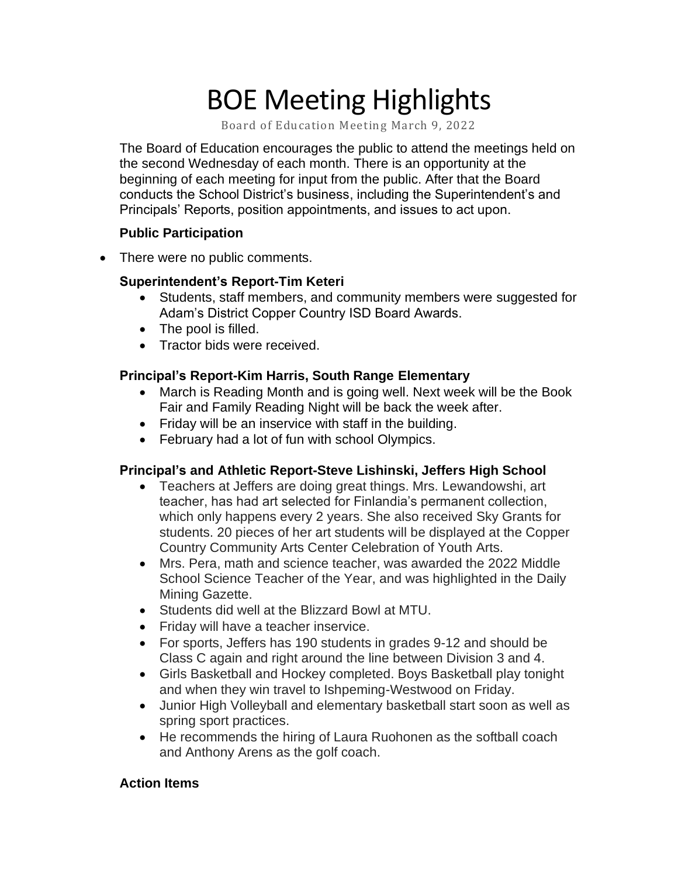# BOE Meeting Highlights

Board of Education Meeting March 9, 2022

 The Board of Education encourages the public to attend the meetings held on the second Wednesday of each month. There is an opportunity at the beginning of each meeting for input from the public. After that the Board conducts the School District's business, including the Superintendent's and Principals' Reports, position appointments, and issues to act upon.

#### **Public Participation**

• There were no public comments.

## **Superintendent's Report-Tim Keteri**

- • Students, staff members, and community members were suggested for Adam's District Copper Country ISD Board Awards.
- The pool is filled.
- Tractor bids were received.

## **Principal's Report-Kim Harris, South Range Elementary**

- March is Reading Month and is going well. Next week will be the Book Fair and Family Reading Night will be back the week after.
- Friday will be an inservice with staff in the building.
- February had a lot of fun with school Olympics.

# **Principal's and Athletic Report-Steve Lishinski, Jeffers High School**

- • Teachers at Jeffers are doing great things. Mrs. Lewandowshi, art teacher, has had art selected for Finlandia's permanent collection, which only happens every 2 years. She also received Sky Grants for students. 20 pieces of her art students will be displayed at the Copper Country Community Arts Center Celebration of Youth Arts.
- • Mrs. Pera, math and science teacher, was awarded the 2022 Middle School Science Teacher of the Year, and was highlighted in the Daily Mining Gazette.
- Students did well at the Blizzard Bowl at MTU.
- Friday will have a teacher inservice.
- • For sports, Jeffers has 190 students in grades 9-12 and should be Class C again and right around the line between Division 3 and 4.
- • Girls Basketball and Hockey completed. Boys Basketball play tonight and when they win travel to Ishpeming-Westwood on Friday.
- • Junior High Volleyball and elementary basketball start soon as well as spring sport practices.
- • He recommends the hiring of Laura Ruohonen as the softball coach and Anthony Arens as the golf coach.

#### **Action Items**